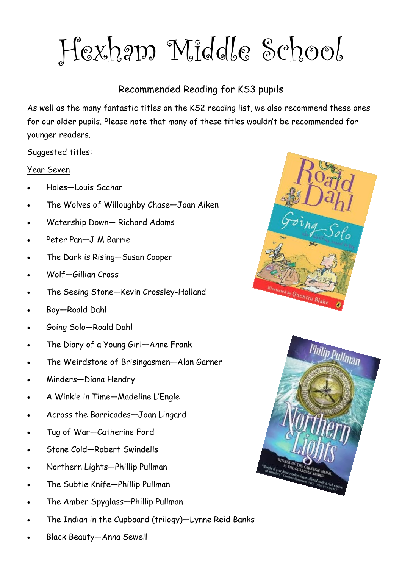Hexham Middle School

### Recommended Reading for KS3 pupils

As well as the many fantastic titles on the KS2 reading list, we also recommend these ones for our older pupils. Please note that many of these titles wouldn't be recommended for younger readers.

Suggested titles:

#### Year Seven

- Holes—Louis Sachar
- The Wolves of Willoughby Chase—Joan Aiken
- Watership Down— Richard Adams
- Peter Pan—J M Barrie
- The Dark is Rising—Susan Cooper
- Wolf—Gillian Cross
- The Seeing Stone—Kevin Crossley-Holland
- Boy—Roald Dahl
- Going Solo—Roald Dahl
- The Diary of a Young Girl—Anne Frank
- The Weirdstone of Brisingasmen—Alan Garner
- Minders—Diana Hendry
- A Winkle in Time—Madeline L'Engle
- Across the Barricades—Joan Lingard
- Tug of War—Catherine Ford
- Stone Cold—Robert Swindells
- Northern Lights—Phillip Pullman
- The Subtle Knife—Phillip Pullman
- The Amber Spyglass—Phillip Pullman
- The Indian in the Cupboard (trilogy)—Lynne Reid Banks
- Black Beauty—Anna Sewell



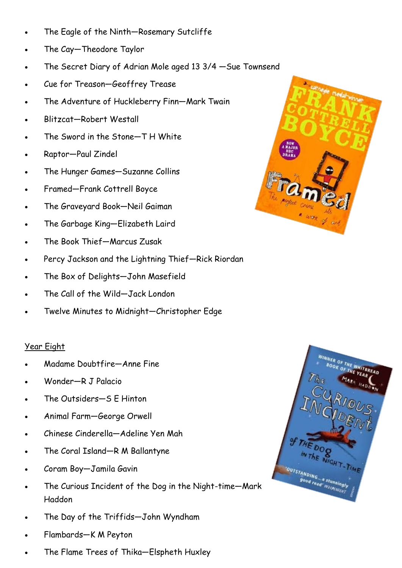- The Eagle of the Ninth—Rosemary Sutcliffe
- The Cay—Theodore Taylor
- The Secret Diary of Adrian Mole aged 13 3/4 —Sue Townsend
- Cue for Treason—Geoffrey Trease
- The Adventure of Huckleberry Finn—Mark Twain
- Blitzcat—Robert Westall
- The Sword in the Stone—T H White
- Raptor—Paul Zindel
- The Hunger Games—Suzanne Collins
- Framed—Frank Cottrell Boyce
- The Graveyard Book—Neil Gaiman
- The Garbage King—Elizabeth Laird
- The Book Thief—Marcus Zusak
- Percy Jackson and the Lightning Thief—Rick Riordan
- The Box of Delights—John Masefield
- The Call of the Wild—Jack London
- Twelve Minutes to Midnight—Christopher Edge

#### Year Eight

- Madame Doubtfire—Anne Fine
- Wonder—R J Palacio
- The Outsiders—S E Hinton
- Animal Farm—George Orwell
- Chinese Cinderella—Adeline Yen Mah
- The Coral Island—R M Ballantyne
- Coram Boy—Jamila Gavin
- The Curious Incident of the Dog in the Night-time—Mark Haddon
- The Day of the Triffids—John Wyndham
- Flambards—K M Peyton
- The Flame Trees of Thika—Elspheth Huxley